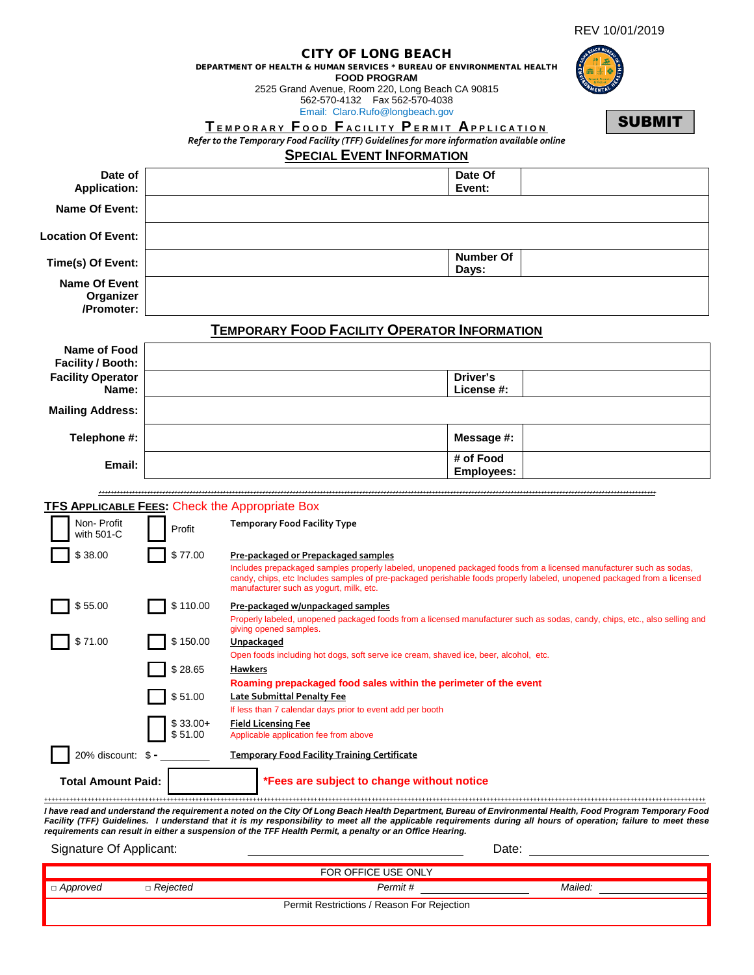| REV 10/01/2019 |
|----------------|
|----------------|

|                                                 |                      | DEPARTMENT OF HEALTH & HUMAN SERVICES * BUREAU OF ENVIRONMENTAL HEALTH<br>TEMPORARY FOOD FACILITY PERMIT APPLICATION<br>Refer to the Temporary Food Facility (TFF) Guidelines for more information available online | <b>CITY OF LONG BEACH</b><br><b>FOOD PROGRAM</b><br>2525 Grand Avenue, Room 220, Long Beach CA 90815<br>562-570-4132    Fax 562-570-4038<br>Email: Claro.Rufo@longbeach.gov | <b>SUBMIT</b>                                                                                                                                                                                                                                                                                                                    |
|-------------------------------------------------|----------------------|---------------------------------------------------------------------------------------------------------------------------------------------------------------------------------------------------------------------|-----------------------------------------------------------------------------------------------------------------------------------------------------------------------------|----------------------------------------------------------------------------------------------------------------------------------------------------------------------------------------------------------------------------------------------------------------------------------------------------------------------------------|
|                                                 |                      |                                                                                                                                                                                                                     | <b>SPECIAL EVENT INFORMATION</b>                                                                                                                                            |                                                                                                                                                                                                                                                                                                                                  |
| Date of<br><b>Application:</b>                  |                      |                                                                                                                                                                                                                     | Date Of<br>Event:                                                                                                                                                           |                                                                                                                                                                                                                                                                                                                                  |
| Name Of Event:                                  |                      |                                                                                                                                                                                                                     |                                                                                                                                                                             |                                                                                                                                                                                                                                                                                                                                  |
| <b>Location Of Event:</b>                       |                      |                                                                                                                                                                                                                     |                                                                                                                                                                             |                                                                                                                                                                                                                                                                                                                                  |
| Time(s) Of Event:                               |                      |                                                                                                                                                                                                                     | Number Of<br>Days:                                                                                                                                                          |                                                                                                                                                                                                                                                                                                                                  |
| <b>Name Of Event</b><br>Organizer<br>/Promoter: |                      |                                                                                                                                                                                                                     |                                                                                                                                                                             |                                                                                                                                                                                                                                                                                                                                  |
|                                                 |                      | <b>TEMPORARY FOOD FACILITY OPERATOR INFORMATION</b>                                                                                                                                                                 |                                                                                                                                                                             |                                                                                                                                                                                                                                                                                                                                  |
| Name of Food<br>Facility / Booth:               |                      |                                                                                                                                                                                                                     |                                                                                                                                                                             |                                                                                                                                                                                                                                                                                                                                  |
| <b>Facility Operator</b><br>Name:               |                      |                                                                                                                                                                                                                     | Driver's<br>License #:                                                                                                                                                      |                                                                                                                                                                                                                                                                                                                                  |
| <b>Mailing Address:</b>                         |                      |                                                                                                                                                                                                                     |                                                                                                                                                                             |                                                                                                                                                                                                                                                                                                                                  |
| Telephone #:                                    |                      |                                                                                                                                                                                                                     | Message #:                                                                                                                                                                  |                                                                                                                                                                                                                                                                                                                                  |
| Email:                                          |                      |                                                                                                                                                                                                                     | # of Food                                                                                                                                                                   |                                                                                                                                                                                                                                                                                                                                  |
|                                                 |                      |                                                                                                                                                                                                                     | <b>Employees:</b>                                                                                                                                                           |                                                                                                                                                                                                                                                                                                                                  |
|                                                 |                      | <b>TFS APPLICABLE FEES: Check the Appropriate Box</b>                                                                                                                                                               |                                                                                                                                                                             |                                                                                                                                                                                                                                                                                                                                  |
| Non-Profit<br>with 501-C                        | Profit               | <b>Temporary Food Facility Type</b>                                                                                                                                                                                 |                                                                                                                                                                             |                                                                                                                                                                                                                                                                                                                                  |
| \$38.00                                         | \$77.00              | <b>Pre-packaged or Prepackaged samples</b>                                                                                                                                                                          |                                                                                                                                                                             |                                                                                                                                                                                                                                                                                                                                  |
|                                                 |                      | manufacturer such as yogurt, milk, etc.                                                                                                                                                                             |                                                                                                                                                                             | Includes prepackaged samples properly labeled, unopened packaged foods from a licensed manufacturer such as sodas,<br>candy, chips, etc Includes samples of pre-packaged perishable foods properly labeled, unopened packaged from a licensed                                                                                    |
| \$55.00                                         | \$110.00             | <u>Pre-packaged w/unpackaged samples</u>                                                                                                                                                                            |                                                                                                                                                                             | Properly labeled, unopened packaged foods from a licensed manufacturer such as sodas, candy, chips, etc., also selling and                                                                                                                                                                                                       |
| \$71.00                                         | \$150.00             | giving opened samples.<br><u>Unpackaged</u>                                                                                                                                                                         |                                                                                                                                                                             |                                                                                                                                                                                                                                                                                                                                  |
|                                                 | \$28.65              | Hawkers                                                                                                                                                                                                             | Open foods including hot dogs, soft serve ice cream, shaved ice, beer, alcohol, etc.                                                                                        |                                                                                                                                                                                                                                                                                                                                  |
|                                                 |                      |                                                                                                                                                                                                                     | Roaming prepackaged food sales within the perimeter of the event                                                                                                            |                                                                                                                                                                                                                                                                                                                                  |
|                                                 | \$51.00              | <b>Late Submittal Penalty Fee</b><br>If less than 7 calendar days prior to event add per booth                                                                                                                      |                                                                                                                                                                             |                                                                                                                                                                                                                                                                                                                                  |
|                                                 | $$33.00+$<br>\$51.00 | <u>Field Licensing Fee</u><br>Applicable application fee from above                                                                                                                                                 |                                                                                                                                                                             |                                                                                                                                                                                                                                                                                                                                  |
| $20\%$ discount: $\text{\$}$ -                  |                      | <u> Temporary Food Facility Training Certificate</u>                                                                                                                                                                |                                                                                                                                                                             |                                                                                                                                                                                                                                                                                                                                  |
| <b>Total Amount Paid:</b>                       |                      |                                                                                                                                                                                                                     | *Fees are subject to change without notice                                                                                                                                  |                                                                                                                                                                                                                                                                                                                                  |
|                                                 |                      | requirements can result in either a suspension of the TFF Health Permit, a penalty or an Office Hearing.                                                                                                            |                                                                                                                                                                             | I have read and understand the requirement a noted on the City Of Long Beach Health Department, Bureau of Environmental Health, Food Program Temporary Food<br>Facility (TFF) Guidelines. I understand that it is my responsibility to meet all the applicable requirements during all hours of operation; failure to meet these |
| Signature Of Applicant:                         |                      |                                                                                                                                                                                                                     |                                                                                                                                                                             | Date:                                                                                                                                                                                                                                                                                                                            |
|                                                 |                      |                                                                                                                                                                                                                     | FOR OFFICE USE ONLY                                                                                                                                                         |                                                                                                                                                                                                                                                                                                                                  |
| □ Approved                                      | □ Rejected           |                                                                                                                                                                                                                     | Permit #                                                                                                                                                                    | Mailed:                                                                                                                                                                                                                                                                                                                          |

| Permit Restrictions / Reason For Rejection |  |  |  |
|--------------------------------------------|--|--|--|
|--------------------------------------------|--|--|--|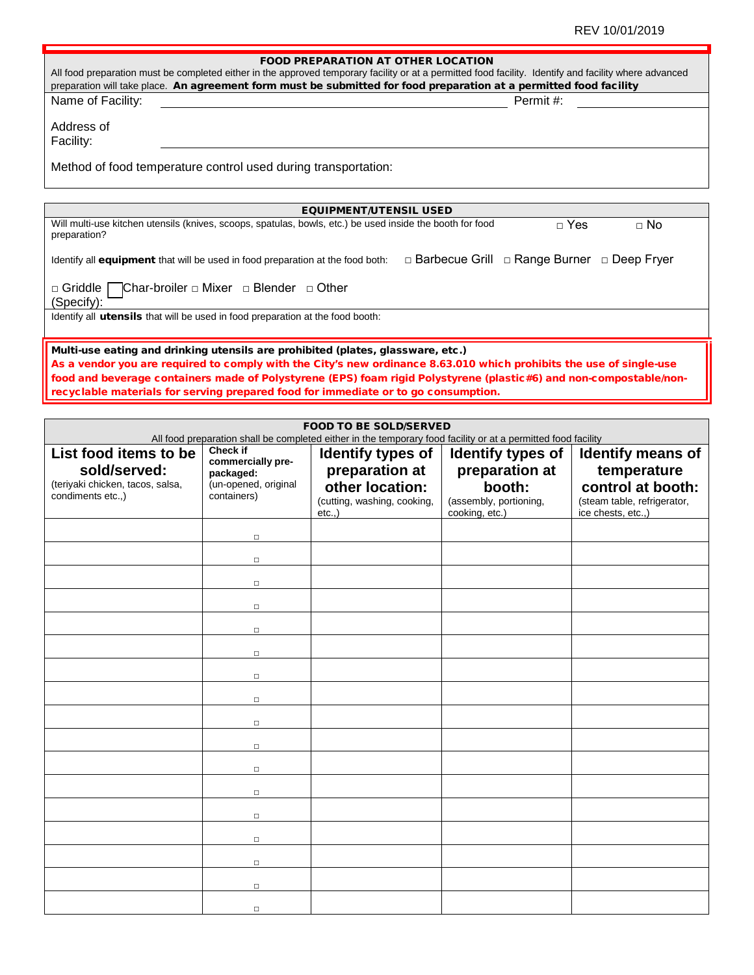| <b>FOOD PREPARATION AT OTHER LOCATION</b>                                                                                                                                                                                                                                    |  |  |  |  |
|------------------------------------------------------------------------------------------------------------------------------------------------------------------------------------------------------------------------------------------------------------------------------|--|--|--|--|
| All food preparation must be completed either in the approved temporary facility or at a permitted food facility. Identify and facility where advanced<br>preparation will take place. An agreement form must be submitted for food preparation at a permitted food facility |  |  |  |  |
| Permit #:<br>Name of Facility:                                                                                                                                                                                                                                               |  |  |  |  |
| Address of                                                                                                                                                                                                                                                                   |  |  |  |  |
| Facility:                                                                                                                                                                                                                                                                    |  |  |  |  |
|                                                                                                                                                                                                                                                                              |  |  |  |  |
| Method of food temperature control used during transportation:                                                                                                                                                                                                               |  |  |  |  |
|                                                                                                                                                                                                                                                                              |  |  |  |  |
| <b>EQUIPMENT/UTENSIL USED</b>                                                                                                                                                                                                                                                |  |  |  |  |
| Will multi-use kitchen utensils (knives, scoops, spatulas, bowls, etc.) be used inside the booth for food<br>$\sqcap$ Yes<br>$\Box$ No<br>preparation?                                                                                                                       |  |  |  |  |
| □ Barbecue Grill □ Range Burner □ Deep Fryer<br>Identify all <b>equipment</b> that will be used in food preparation at the food both:                                                                                                                                        |  |  |  |  |
| $\Box$ Griddle Char-broiler $\Box$ Mixer $\Box$ Blender $\Box$ Other<br>(Specify):                                                                                                                                                                                           |  |  |  |  |
| Identify all <b>utensils</b> that will be used in food preparation at the food booth:                                                                                                                                                                                        |  |  |  |  |
| Multi-use eating and drinking utensils are prohibited (plates, glassware, etc.)                                                                                                                                                                                              |  |  |  |  |
| As a vendor you are required to comply with the City's new ordinance 8.63.010 which prohibits the use of single-use                                                                                                                                                          |  |  |  |  |
| food and beverage containers made of Polystyrene (EPS) foam rigid Polystyrene (plastic#6) and non-compostable/non-                                                                                                                                                           |  |  |  |  |
| recyclable materials for serving prepared food for immediate or to go consumption.                                                                                                                                                                                           |  |  |  |  |

| <b>FOOD TO BE SOLD/SERVED</b><br>All food preparation shall be completed either in the temporary food facility or at a permitted food facility |                                                                                   |                                                                                                |                                                                                           |                                                                                                                   |
|------------------------------------------------------------------------------------------------------------------------------------------------|-----------------------------------------------------------------------------------|------------------------------------------------------------------------------------------------|-------------------------------------------------------------------------------------------|-------------------------------------------------------------------------------------------------------------------|
| List food items to be<br>sold/served:<br>(teriyaki chicken, tacos, salsa,<br>condiments etc.,)                                                 | Check if<br>commercially pre-<br>packaged:<br>(un-opened, original<br>containers) | Identify types of<br>preparation at<br>other location:<br>(cutting, washing, cooking,<br>etc., | Identify types of<br>preparation at<br>booth:<br>(assembly, portioning,<br>cooking, etc.) | <b>Identify means of</b><br>temperature<br>control at booth:<br>(steam table, refrigerator,<br>ice chests, etc.,) |
|                                                                                                                                                | $\Box$                                                                            |                                                                                                |                                                                                           |                                                                                                                   |
|                                                                                                                                                | $\Box$<br>$\Box$                                                                  |                                                                                                |                                                                                           |                                                                                                                   |
|                                                                                                                                                | $\Box$                                                                            |                                                                                                |                                                                                           |                                                                                                                   |
|                                                                                                                                                | $\Box$<br>$\Box$                                                                  |                                                                                                |                                                                                           |                                                                                                                   |
|                                                                                                                                                | $\Box$                                                                            |                                                                                                |                                                                                           |                                                                                                                   |
|                                                                                                                                                | $\Box$                                                                            |                                                                                                |                                                                                           |                                                                                                                   |
|                                                                                                                                                | $\Box$<br>$\Box$                                                                  |                                                                                                |                                                                                           |                                                                                                                   |
|                                                                                                                                                | $\Box$                                                                            |                                                                                                |                                                                                           |                                                                                                                   |
|                                                                                                                                                | $\Box$<br>$\Box$                                                                  |                                                                                                |                                                                                           |                                                                                                                   |
|                                                                                                                                                | $\Box$                                                                            |                                                                                                |                                                                                           |                                                                                                                   |
|                                                                                                                                                | $\Box$                                                                            |                                                                                                |                                                                                           |                                                                                                                   |
|                                                                                                                                                | $\Box$<br>$\Box$                                                                  |                                                                                                |                                                                                           |                                                                                                                   |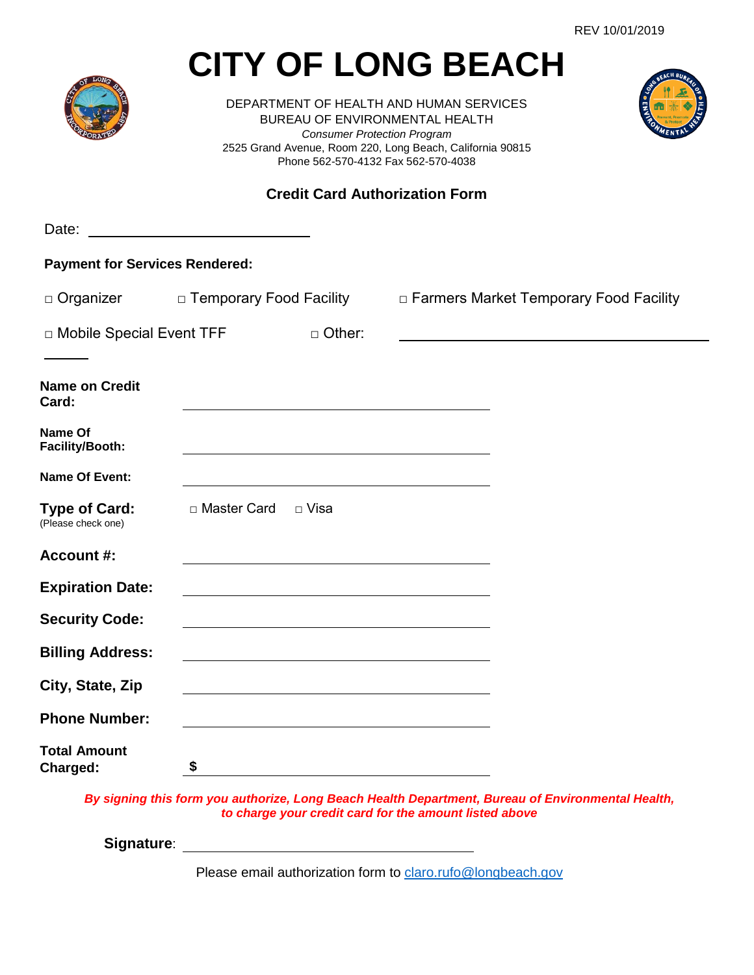# **CITY OF LONG BEACH**

DEPARTMENT OF HEALTH AND HUMAN SERVICES BUREAU OF ENVIRONMENTAL HEALTH *Consumer Protection Program* 2525 Grand Avenue, Room 220, Long Beach, California 90815 Phone 562-570-4132 Fax 562-570-4038



# **Credit Card Authorization Form**

| Date:                                      | <u> Liste de la construcción de la construcción de la construcción de la construcción de la construcción de la c</u> |               |                                                                                                                      |
|--------------------------------------------|----------------------------------------------------------------------------------------------------------------------|---------------|----------------------------------------------------------------------------------------------------------------------|
| <b>Payment for Services Rendered:</b>      |                                                                                                                      |               |                                                                                                                      |
| □ Organizer □ Temporary Food Facility      |                                                                                                                      |               | □ Farmers Market Temporary Food Facility                                                                             |
| □ Mobile Special Event TFF                 |                                                                                                                      | $\Box$ Other: |                                                                                                                      |
| <b>Name on Credit</b><br>Card:             |                                                                                                                      |               |                                                                                                                      |
| Name Of<br>Facility/Booth:                 |                                                                                                                      |               |                                                                                                                      |
| <b>Name Of Event:</b>                      |                                                                                                                      |               |                                                                                                                      |
| <b>Type of Card:</b><br>(Please check one) | □ Master Card □ Visa                                                                                                 |               |                                                                                                                      |
| Account #:                                 |                                                                                                                      |               |                                                                                                                      |
| <b>Expiration Date:</b>                    |                                                                                                                      |               |                                                                                                                      |
| <b>Security Code:</b>                      |                                                                                                                      |               |                                                                                                                      |
| <b>Billing Address:</b>                    |                                                                                                                      |               |                                                                                                                      |
| City, State, Zip                           |                                                                                                                      |               |                                                                                                                      |
| <b>Phone Number:</b>                       |                                                                                                                      |               | <u> 1989 - Johann Barbara, marka a shekara tsa 1989 - An tsa 1989 - An tsa 1989 - An tsa 1989 - An tsa 1989 - An</u> |
| <b>Total Amount</b><br>Charged:            | \$                                                                                                                   |               |                                                                                                                      |
|                                            |                                                                                                                      |               | By signing this form you authorize, Long Beach Health Department, Bureau of Environmental Health,                    |

*to charge your credit card for the amount listed above*

**Signature**:

Please email authorization form to [claro.rufo@longbeach.gov](mailto:claro.rufo@longbeach.gov)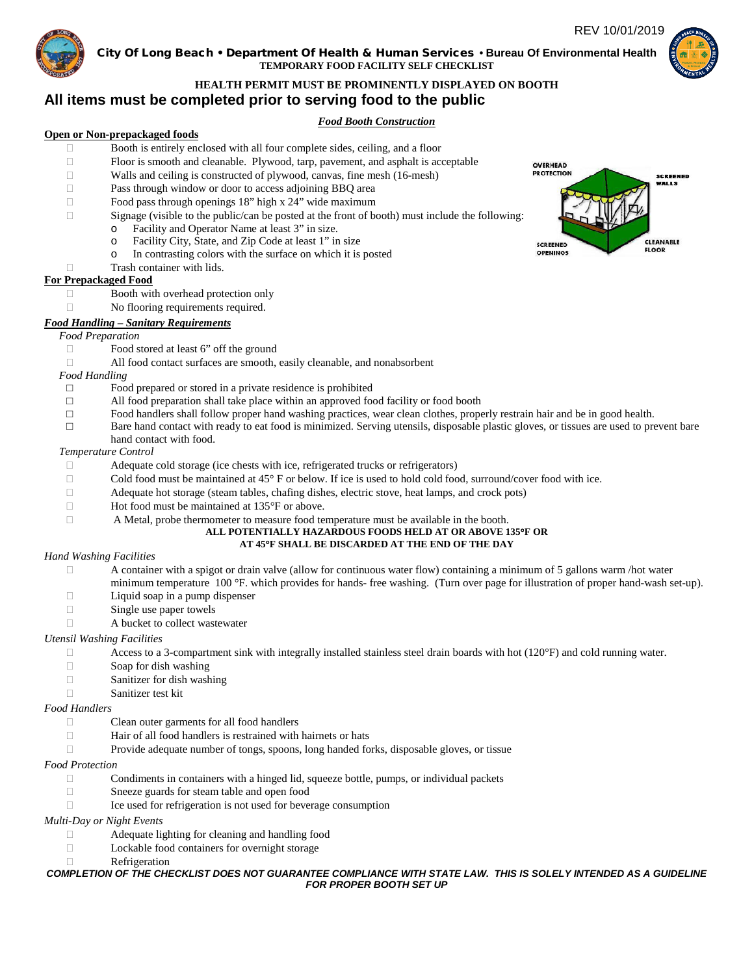# REV 10/01/2019



## City Of Long Beach • Department Of Health & Human Services **• Bureau Of Environmental Health TEMPORARY FOOD FACILITY SELF CHECKLIST**



# **HEALTH PERMIT MUST BE PROMINENTLY DISPLAYED ON BOOTH**

# **All items must be completed prior to serving food to the public**

# *Food Booth Construction*

# **Open or Non-prepackaged foods**

- □ Booth is entirely enclosed with all four complete sides, ceiling, and a floor
- Floor is smooth and cleanable. Plywood, tarp, pavement, and asphalt is acceptable
- Walls and ceiling is constructed of plywood, canvas, fine mesh (16-mesh)
- Pass through window or door to access adjoining BBQ area
- $\Box$  Food pass through openings 18" high x 24" wide maximum
- $\Box$  Signage (visible to the public/can be posted at the front of booth) must include the following:
	- o Facility and Operator Name at least 3" in size.<br>C. Facility City, State, and Zin Code at least 1" in
	- $\circ$  Facility City, State, and Zip Code at least 1" in size  $\circ$  In contrasting colors with the surface on which it is
		- In contrasting colors with the surface on which it is posted
- □ Trash container with lids.

# **For Prepackaged Food**

- Booth with overhead protection only
- □ No flooring requirements required.

# *Food Handling – Sanitary Requirements*

# *Food Preparation*

- □ Food stored at least 6" off the ground
- All food contact surfaces are smooth, easily cleanable, and nonabsorbent

*Food Handling*

- $\Box$  Food prepared or stored in a private residence is prohibited  $\Box$  All food preparation shall take place within an approved fo
- $\Box$  All food preparation shall take place within an approved food facility or food booth Food handlers shall follow proper hand washing practices, wear clean clothes, prope
- □ Food handlers shall follow proper hand washing practices, wear clean clothes, properly restrain hair and be in good health.
- Bare hand contact with ready to eat food is minimized. Serving utensils, disposable plastic gloves, or tissues are used to prevent bare hand contact with food.

## *Temperature Control*

- Adequate cold storage (ice chests with ice, refrigerated trucks or refrigerators)
- $\Box$  Cold food must be maintained at 45 $\degree$  F or below. If ice is used to hold cold food, surround/cover food with ice.
- Adequate hot storage (steam tables, chafing dishes, electric stove, heat lamps, and crock pots)
- $\Box$  Hot food must be maintained at 135 $\degree$ F or above.
- A Metal, probe thermometer to measure food temperature must be available in the booth.

#### **ALL POTENTIALLY HAZARDOUS FOODS HELD AT OR ABOVE 135**°**F OR AT 45**°**F SHALL BE DISCARDED AT THE END OF THE DAY**

# *Hand Washing Facilities*

- $\Box$  A container with a spigot or drain valve (allow for continuous water flow) containing a minimum of 5 gallons warm /hot water minimum temperature 100 °F. which provides for hands- free washing. (Turn over page for illustration of proper hand-wash set-up).
- $\Box$  Liquid soap in a pump dispenser  $\Box$  Single use paper towels
- Single use paper towels
- A bucket to collect wastewater

# *Utensil Washing Facilities*

- $\Box$  Access to a 3-compartment sink with integrally installed stainless steel drain boards with hot (120 $\degree$ F) and cold running water.
- $\Box$  Soap for dish washing
- □ Sanitizer for dish washing
- Sanitizer test kit

#### *Food Handlers*

- □ Clean outer garments for all food handlers
- $\Box$  Hair of all food handlers is restrained with hairnets or hats
- Provide adequate number of tongs, spoons, long handed forks, disposable gloves, or tissue

#### *Food Protection*

- $\Box$  Condiments in containers with a hinged lid, squeeze bottle, pumps, or individual packets
- □ Sneeze guards for steam table and open food
- $\Box$  Ice used for refrigeration is not used for beverage consumption

# *Multi-Day or Night Events*

- Adequate lighting for cleaning and handling food
- □ Lockable food containers for overnight storage
- Refrigeration

#### *COMPLETION OF THE CHECKLIST DOES NOT GUARANTEE COMPLIANCE WITH STATE LAW. THIS IS SOLELY INTENDED AS A GUIDELINE FOR PROPER BOOTH SET UP*